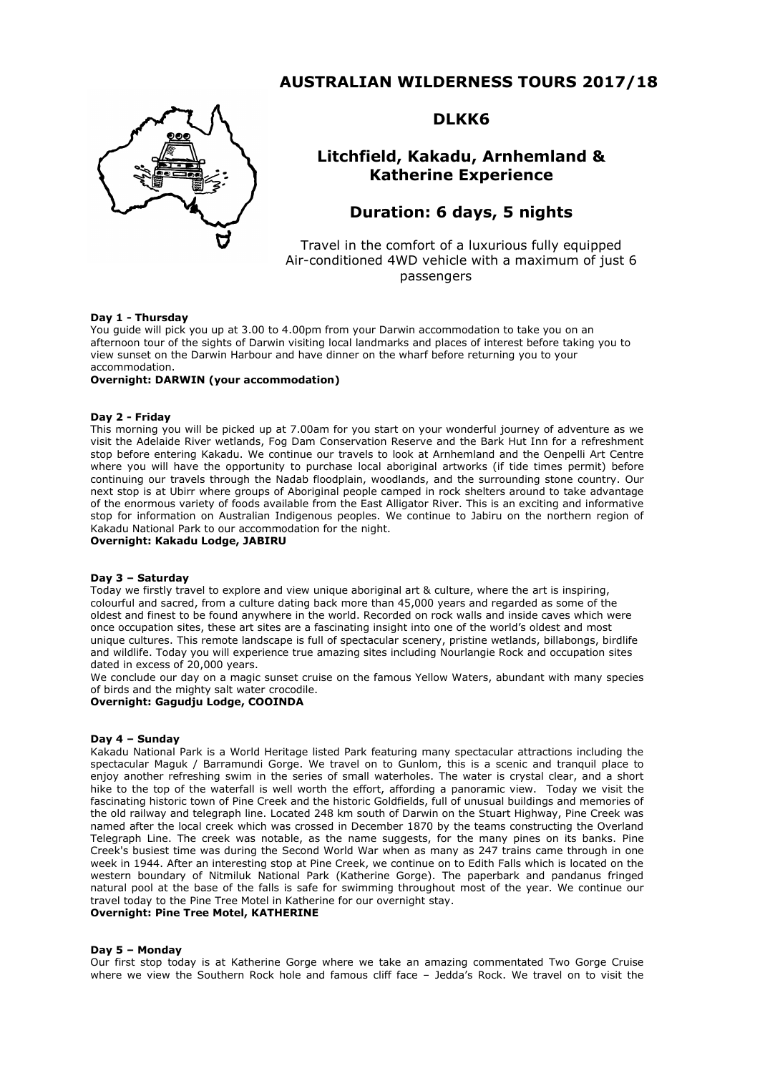## **AUSTRALIAN WILDERNESS TOURS 2017/18**



## **DLKK6**

## **Litchfield, Kakadu, Arnhemland & Katherine Experience**

# **Duration: 6 days, 5 nights**

Travel in the comfort of a luxurious fully equipped Air-conditioned 4WD vehicle with a maximum of just 6 passengers

## **Day 1 - Thursday**

You guide will pick you up at 3.00 to 4.00pm from your Darwin accommodation to take you on an afternoon tour of the sights of Darwin visiting local landmarks and places of interest before taking you to view sunset on the Darwin Harbour and have dinner on the wharf before returning you to your accommodation.

## **Overnight: DARWIN (your accommodation)**

## **Day 2 - Friday**

This morning you will be picked up at 7.00am for you start on your wonderful journey of adventure as we visit the Adelaide River wetlands, Fog Dam Conservation Reserve and the Bark Hut Inn for a refreshment stop before entering Kakadu. We continue our travels to look at Arnhemland and the Oenpelli Art Centre where you will have the opportunity to purchase local aboriginal artworks (if tide times permit) before continuing our travels through the Nadab floodplain, woodlands, and the surrounding stone country. Our next stop is at Ubirr where groups of Aboriginal people camped in rock shelters around to take advantage of the enormous variety of foods available from the East Alligator River. This is an exciting and informative stop for information on Australian Indigenous peoples. We continue to Jabiru on the northern region of Kakadu National Park to our accommodation for the night.

**Overnight: Kakadu Lodge, JABIRU**

#### **Day 3 – Saturday**

Today we firstly travel to explore and view unique aboriginal art & culture, where the art is inspiring, colourful and sacred, from a culture dating back more than 45,000 years and regarded as some of the oldest and finest to be found anywhere in the world. Recorded on rock walls and inside caves which were once occupation sites, these art sites are a fascinating insight into one of the world's oldest and most unique cultures. This remote landscape is full of spectacular scenery, pristine wetlands, billabongs, birdlife and wildlife. Today you will experience true amazing sites including Nourlangie Rock and occupation sites dated in excess of 20,000 years.

We conclude our day on a magic sunset cruise on the famous Yellow Waters, abundant with many species of birds and the mighty salt water crocodile.

## **Overnight: Gagudju Lodge, COOINDA**

#### **Day 4 – Sunday**

Kakadu National Park is a World Heritage listed Park featuring many spectacular attractions including the spectacular Maguk / Barramundi Gorge. We travel on to Gunlom, this is a scenic and tranquil place to enjoy another refreshing swim in the series of small waterholes. The water is crystal clear, and a short hike to the top of the waterfall is well worth the effort, affording a panoramic view. Today we visit the fascinating historic town of Pine Creek and the historic Goldfields, full of unusual buildings and memories of the old railway and telegraph line. Located 248 km south of Darwin on the Stuart Highway, Pine Creek was named after the local creek which was crossed in December 1870 by the teams constructing the Overland Telegraph Line. The creek was notable, as the name suggests, for the many pines on its banks. Pine Creek's busiest time was during the Second World War when as many as 247 trains came through in one week in 1944. After an interesting stop at Pine Creek, we continue on to Edith Falls which is located on the western boundary of Nitmiluk National Park (Katherine Gorge). The paperbark and pandanus fringed natural pool at the base of the falls is safe for swimming throughout most of the year. We continue our travel today to the Pine Tree Motel in Katherine for our overnight stay.

#### **Overnight: Pine Tree Motel, KATHERINE**

#### **Day 5 – Monday**

Our first stop today is at Katherine Gorge where we take an amazing commentated Two Gorge Cruise where we view the Southern Rock hole and famous cliff face – Jedda's Rock. We travel on to visit the